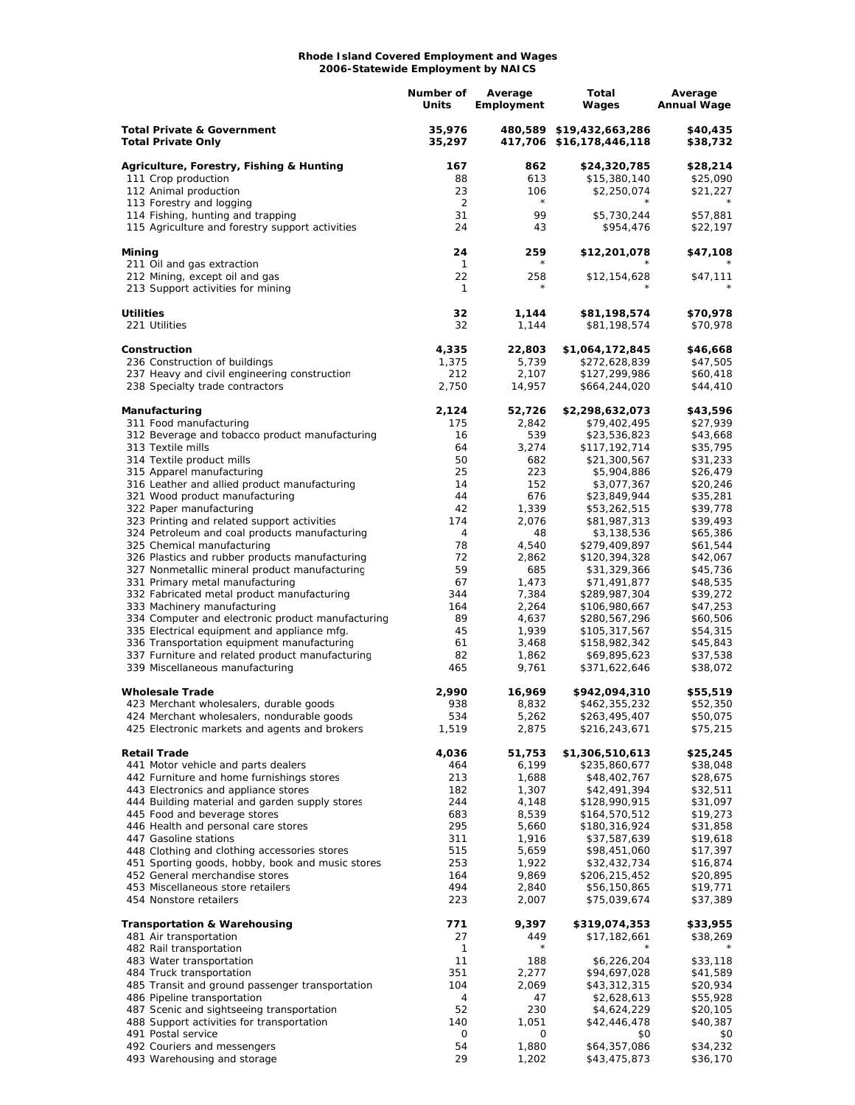## **Rhode Island Covered Employment and Wages 2006-Statewide Employment by NAICS**

|                                                                                              | Number of<br>Units   | Average<br>Employment | Total<br>Wages                                       | Average<br><b>Annual Wage</b> |
|----------------------------------------------------------------------------------------------|----------------------|-----------------------|------------------------------------------------------|-------------------------------|
| <b>Total Private &amp; Government</b><br><b>Total Private Only</b>                           | 35,976<br>35,297     |                       | 480,589 \$19,432,663,286<br>417,706 \$16,178,446,118 | \$40,435<br>\$38,732          |
| Agriculture, Forestry, Fishing & Hunting                                                     | 167                  | 862                   | \$24,320,785                                         | \$28,214                      |
| 111 Crop production                                                                          | 88                   | 613                   | \$15,380,140                                         | \$25,090                      |
| 112 Animal production                                                                        | 23                   | 106<br>$\star$        | \$2,250,074                                          | \$21,227                      |
| 113 Forestry and logging<br>114 Fishing, hunting and trapping                                | $\overline{2}$<br>31 | 99                    | \$5,730,244                                          | \$57,881                      |
| 115 Agriculture and forestry support activities                                              | 24                   | 43                    | \$954,476                                            | \$22,197                      |
| Mining                                                                                       | 24                   | 259<br>$^{\star}$     | \$12,201,078                                         | \$47,108                      |
| 211 Oil and gas extraction<br>212 Mining, except oil and gas                                 | 1<br>22              | 258                   | \$12,154,628                                         | \$47,111                      |
| 213 Support activities for mining                                                            | 1                    | $^{\star}$            |                                                      |                               |
| <b>Utilities</b>                                                                             | 32                   | 1,144                 | \$81,198,574                                         | \$70,978                      |
| 221 Utilities                                                                                | 32                   | 1,144                 | \$81,198,574                                         | \$70,978                      |
| Construction                                                                                 | 4,335                | 22,803                | \$1,064,172,845                                      | \$46,668                      |
| 236 Construction of buildings                                                                | 1,375                | 5,739                 | \$272,628,839                                        | \$47,505                      |
| 237 Heavy and civil engineering construction                                                 | 212                  | 2,107                 | \$127,299,986                                        | \$60,418                      |
| 238 Specialty trade contractors                                                              | 2,750                | 14,957                | \$664,244,020                                        | \$44,410                      |
| Manufacturing                                                                                | 2,124                | 52,726                | \$2,298,632,073                                      | \$43,596                      |
| 311 Food manufacturing                                                                       | 175                  | 2,842                 | \$79,402,495                                         | \$27,939                      |
| 312 Beverage and tobacco product manufacturing<br>313 Textile mills                          | 16<br>64             | 539<br>3,274          | \$23,536,823<br>\$117,192,714                        | \$43,668<br>\$35,795          |
| 314 Textile product mills                                                                    | 50                   | 682                   | \$21,300,567                                         | \$31,233                      |
| 315 Apparel manufacturing                                                                    | 25                   | 223                   | \$5,904,886                                          | \$26,479                      |
| 316 Leather and allied product manufacturing                                                 | 14                   | 152                   | \$3,077,367                                          | \$20,246                      |
| 321 Wood product manufacturing                                                               | 44                   | 676                   | \$23,849,944                                         | \$35,281                      |
| 322 Paper manufacturing                                                                      | 42                   | 1,339                 | \$53,262,515                                         | \$39,778                      |
| 323 Printing and related support activities<br>324 Petroleum and coal products manufacturing | 174<br>4             | 2,076<br>48           | \$81,987,313<br>\$3,138,536                          | \$39,493<br>\$65,386          |
| 325 Chemical manufacturing                                                                   | 78                   | 4,540                 | \$279,409,897                                        | \$61,544                      |
| 326 Plastics and rubber products manufacturing                                               | 72                   | 2,862                 | \$120,394,328                                        | \$42,067                      |
| 327 Nonmetallic mineral product manufacturing                                                | 59                   | 685                   | \$31,329,366                                         | \$45,736                      |
| 331 Primary metal manufacturing                                                              | 67                   | 1,473                 | \$71,491,877                                         | \$48,535                      |
| 332 Fabricated metal product manufacturing                                                   | 344<br>164           | 7,384<br>2,264        | \$289,987,304                                        | \$39,272<br>\$47,253          |
| 333 Machinery manufacturing<br>334 Computer and electronic product manufacturing             | 89                   | 4,637                 | \$106,980,667<br>\$280,567,296                       | \$60,506                      |
| 335 Electrical equipment and appliance mfg.                                                  | 45                   | 1,939                 | \$105,317,567                                        | \$54,315                      |
| 336 Transportation equipment manufacturing                                                   | 61                   | 3,468                 | \$158,982,342                                        | \$45,843                      |
| 337 Furniture and related product manufacturing                                              | 82                   | 1,862                 | \$69,895,623                                         | \$37,538                      |
| 339 Miscellaneous manufacturing                                                              | 465                  | 9,761                 | \$371,622,646                                        | \$38,072                      |
| <b>Wholesale Trade</b>                                                                       | 2,990                | 16,969                | \$942,094,310                                        | \$55,519                      |
| 423 Merchant wholesalers, durable goods                                                      | 938                  | 8,832                 | \$462,355,232                                        | \$52,350                      |
| 424 Merchant wholesalers, nondurable goods<br>425 Electronic markets and agents and brokers  | 534<br>1,519         | 5,262<br>2,875        | \$263,495,407<br>\$216,243,671                       | \$50,075<br>\$75,215          |
| <b>Retail Trade</b>                                                                          | 4,036                | 51,753                | \$1,306,510,613                                      | \$25,245                      |
| 441 Motor vehicle and parts dealers                                                          | 464                  | 6,199                 | \$235,860,677                                        | \$38,048                      |
| 442 Furniture and home furnishings stores                                                    | 213                  | 1,688                 | \$48,402,767                                         | \$28,675                      |
| 443 Electronics and appliance stores<br>444 Building material and garden supply stores       | 182<br>244           | 1,307<br>4,148        | \$42,491,394<br>\$128,990,915                        | \$32,511<br>\$31,097          |
| 445 Food and beverage stores                                                                 | 683                  | 8,539                 | \$164,570,512                                        | \$19,273                      |
| 446 Health and personal care stores                                                          | 295                  | 5,660                 | \$180,316,924                                        | \$31,858                      |
| 447 Gasoline stations                                                                        | 311                  | 1,916                 | \$37,587,639                                         | \$19,618                      |
| 448 Clothing and clothing accessories stores                                                 | 515                  | 5,659                 | \$98,451,060                                         | \$17,397                      |
| 451 Sporting goods, hobby, book and music stores                                             | 253                  | 1,922                 | \$32,432,734                                         | \$16,874                      |
| 452 General merchandise stores<br>453 Miscellaneous store retailers                          | 164<br>494           | 9,869<br>2,840        | \$206,215,452<br>\$56,150,865                        | \$20,895<br>\$19,771          |
| 454 Nonstore retailers                                                                       | 223                  | 2,007                 | \$75,039,674                                         | \$37,389                      |
| <b>Transportation &amp; Warehousing</b>                                                      | 771                  | 9,397                 | \$319,074,353                                        | \$33,955                      |
| 481 Air transportation                                                                       | 27                   | 449                   | \$17,182,661                                         | \$38,269                      |
| 482 Rail transportation                                                                      | 1                    | $\star$               |                                                      |                               |
| 483 Water transportation                                                                     | 11<br>351            | 188                   | \$6,226,204                                          | \$33,118                      |
| 484 Truck transportation<br>485 Transit and ground passenger transportation                  | 104                  | 2,277<br>2,069        | \$94,697,028<br>\$43,312,315                         | \$41,589<br>\$20,934          |
| 486 Pipeline transportation                                                                  | 4                    | 47                    | \$2,628,613                                          | \$55,928                      |
| 487 Scenic and sightseeing transportation                                                    | 52                   | 230                   | \$4,624,229                                          | \$20,105                      |
| 488 Support activities for transportation                                                    | 140                  | 1,051                 | \$42,446,478                                         | \$40,387                      |
| 491 Postal service                                                                           | 0                    | 0                     | \$0                                                  | \$0                           |
| 492 Couriers and messengers                                                                  | 54<br>29             | 1,880<br>1,202        | \$64,357,086                                         | \$34,232                      |
| 493 Warehousing and storage                                                                  |                      |                       | \$43,475,873                                         | \$36,170                      |